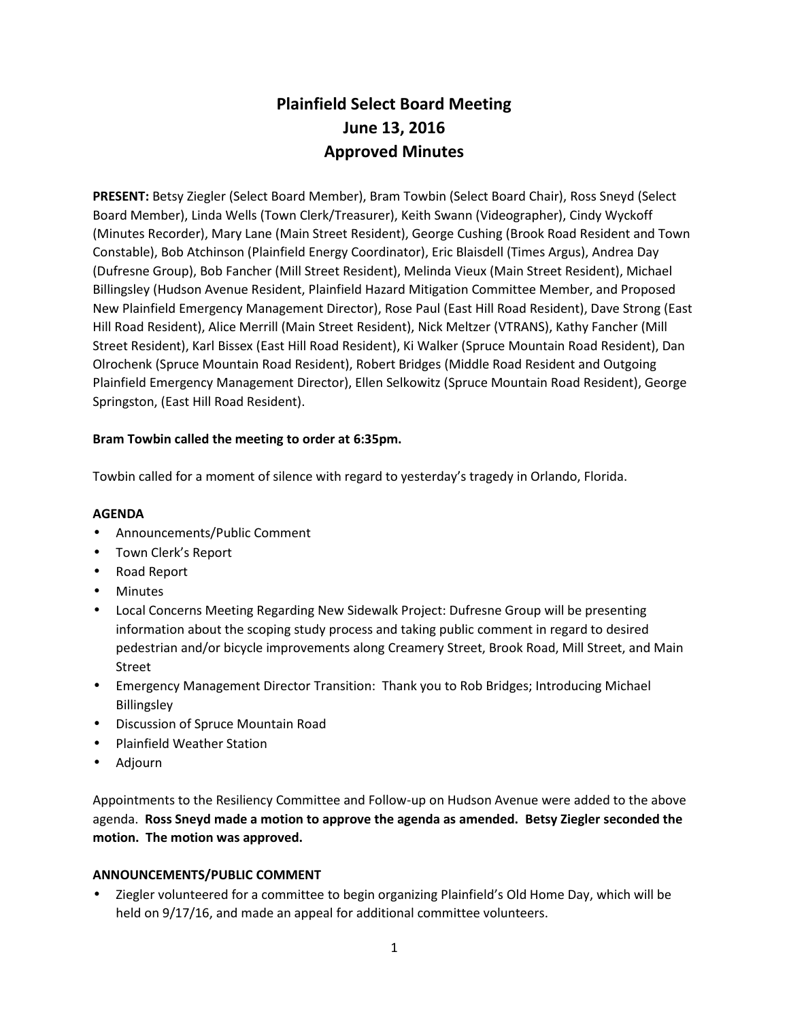# **Plainfield Select Board Meeting June 13, 2016 Approved Minutes**

**PRESENT:** Betsy Ziegler (Select Board Member), Bram Towbin (Select Board Chair), Ross Sneyd (Select Board Member), Linda Wells (Town Clerk/Treasurer), Keith Swann (Videographer), Cindy Wyckoff (Minutes Recorder), Mary Lane (Main Street Resident), George Cushing (Brook Road Resident and Town Constable), Bob Atchinson (Plainfield Energy Coordinator), Eric Blaisdell (Times Argus), Andrea Day (Dufresne Group), Bob Fancher (Mill Street Resident), Melinda Vieux (Main Street Resident), Michael Billingsley (Hudson Avenue Resident, Plainfield Hazard Mitigation Committee Member, and Proposed New Plainfield Emergency Management Director), Rose Paul (East Hill Road Resident), Dave Strong (East Hill Road Resident), Alice Merrill (Main Street Resident), Nick Meltzer (VTRANS), Kathy Fancher (Mill Street Resident), Karl Bissex (East Hill Road Resident), Ki Walker (Spruce Mountain Road Resident), Dan Olrochenk (Spruce Mountain Road Resident), Robert Bridges (Middle Road Resident and Outgoing Plainfield Emergency Management Director), Ellen Selkowitz (Spruce Mountain Road Resident), George Springston, (East Hill Road Resident).

## **Bram Towbin called the meeting to order at 6:35pm.**

Towbin called for a moment of silence with regard to yesterday's tragedy in Orlando, Florida.

### **AGENDA**

- Announcements/Public Comment
- Town Clerk's Report
- Road Report
- Minutes
- Local Concerns Meeting Regarding New Sidewalk Project: Dufresne Group will be presenting information about the scoping study process and taking public comment in regard to desired pedestrian and/or bicycle improvements along Creamery Street, Brook Road, Mill Street, and Main Street
- Emergency Management Director Transition: Thank you to Rob Bridges; Introducing Michael Billingsley
- Discussion of Spruce Mountain Road
- Plainfield Weather Station
- Adjourn

Appointments to the Resiliency Committee and Follow-up on Hudson Avenue were added to the above agenda. **Ross Sneyd made a motion to approve the agenda as amended. Betsy Ziegler seconded the motion. The motion was approved.**

### **ANNOUNCEMENTS/PUBLIC COMMENT**

 Ziegler volunteered for a committee to begin organizing Plainfield's Old Home Day, which will be held on 9/17/16, and made an appeal for additional committee volunteers.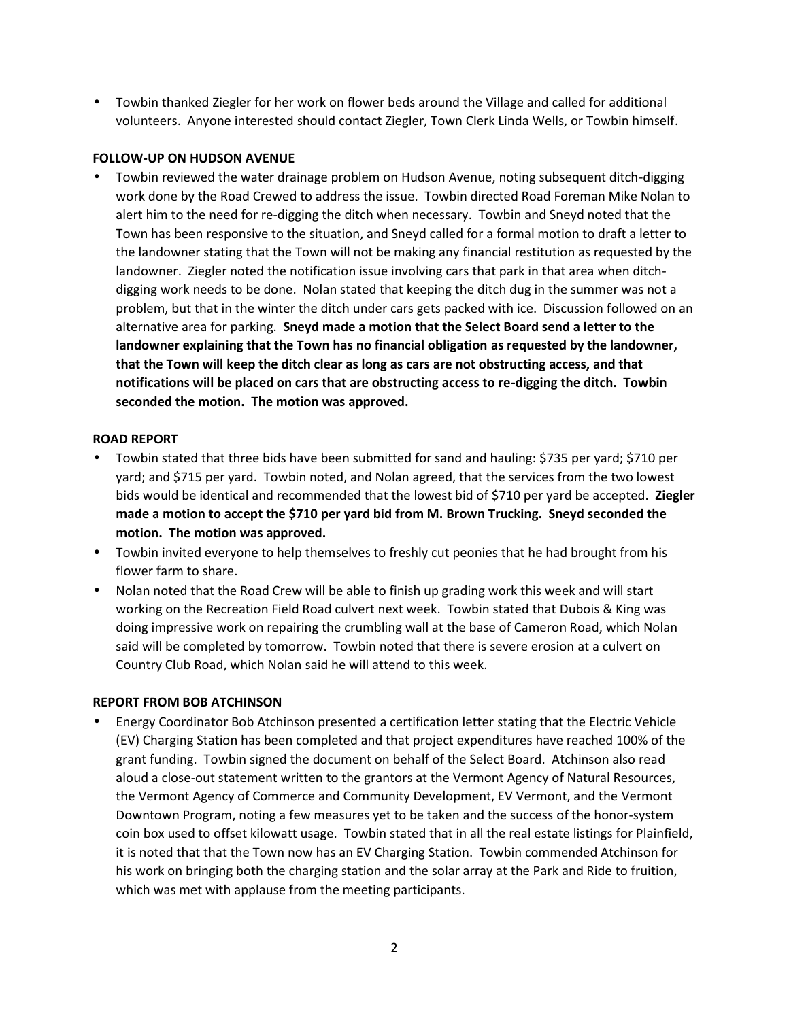Towbin thanked Ziegler for her work on flower beds around the Village and called for additional volunteers. Anyone interested should contact Ziegler, Town Clerk Linda Wells, or Towbin himself.

## **FOLLOW-UP ON HUDSON AVENUE**

 Towbin reviewed the water drainage problem on Hudson Avenue, noting subsequent ditch-digging work done by the Road Crewed to address the issue. Towbin directed Road Foreman Mike Nolan to alert him to the need for re-digging the ditch when necessary. Towbin and Sneyd noted that the Town has been responsive to the situation, and Sneyd called for a formal motion to draft a letter to the landowner stating that the Town will not be making any financial restitution as requested by the landowner. Ziegler noted the notification issue involving cars that park in that area when ditch digging work needs to be done. Nolan stated that keeping the ditch dug in the summer was not a problem, but that in the winter the ditch under cars gets packed with ice. Discussion followed on an alternative area for parking. **Sneyd made a motion that the Select Board send a letter to the landowner explaining that the Town has no financial obligation as requested by the landowner, that the Town will keep the ditch clear as long as cars are not obstructing access, and that notifications will be placed on cars that are obstructing access to re-digging the ditch. Towbin seconded the motion. The motion was approved.**

## **ROAD REPORT**

- Towbin stated that three bids have been submitted for sand and hauling: \$735 per yard; \$710 per yard; and \$715 per yard. Towbin noted, and Nolan agreed, that the services from the two lowest bids would be identical and recommended that the lowest bid of \$710 per yard be accepted. **Ziegler made a motion to accept the \$710 per yard bid from M. Brown Trucking. Sneyd seconded the motion. The motion was approved.**
- Towbin invited everyone to help themselves to freshly cut peonies that he had brought from his flower farm to share.
- Nolan noted that the Road Crew will be able to finish up grading work this week and will start working on the Recreation Field Road culvert next week. Towbin stated that Dubois & King was doing impressive work on repairing the crumbling wall at the base of Cameron Road, which Nolan said will be completed by tomorrow. Towbin noted that there is severe erosion at a culvert on Country Club Road, which Nolan said he will attend to this week.

# **REPORT FROM BOB ATCHINSON**

 Energy Coordinator Bob Atchinson presented a certification letter stating that the Electric Vehicle (EV) Charging Station has been completed and that project expenditures have reached 100% of the grant funding. Towbin signed the document on behalf of the Select Board. Atchinson also read aloud a close-out statement written to the grantors at the Vermont Agency of Natural Resources, the Vermont Agency of Commerce and Community Development, EV Vermont, and the Vermont Downtown Program, noting a few measures yet to be taken and the success of the honor-system coin box used to offset kilowatt usage. Towbin stated that in all the real estate listings for Plainfield, it is noted that that the Town now has an EV Charging Station. Towbin commended Atchinson for his work on bringing both the charging station and the solar array at the Park and Ride to fruition, which was met with applause from the meeting participants.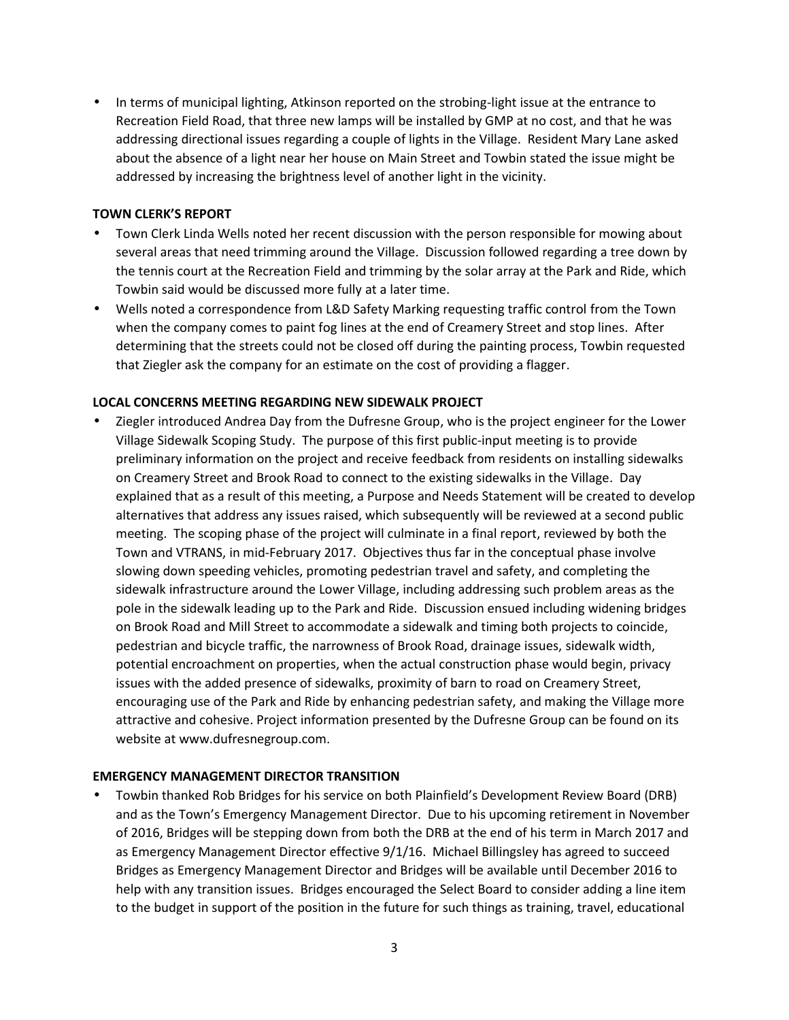• In terms of municipal lighting, Atkinson reported on the strobing-light issue at the entrance to Recreation Field Road, that three new lamps will be installed by GMP at no cost, and that he was addressing directional issues regarding a couple of lights in the Village. Resident Mary Lane asked about the absence of a light near her house on Main Street and Towbin stated the issue might be addressed by increasing the brightness level of another light in the vicinity.

#### **TOWN CLERK'S REPORT**

- Town Clerk Linda Wells noted her recent discussion with the person responsible for mowing about several areas that need trimming around the Village. Discussion followed regarding a tree down by the tennis court at the Recreation Field and trimming by the solar array at the Park and Ride, which Towbin said would be discussed more fully at a later time.
- Wells noted a correspondence from L&D Safety Marking requesting traffic control from the Town when the company comes to paint fog lines at the end of Creamery Street and stop lines. After determining that the streets could not be closed off during the painting process, Towbin requested that Ziegler ask the company for an estimate on the cost of providing a flagger.

#### **LOCAL CONCERNS MEETING REGARDING NEW SIDEWALK PROJECT**

 Ziegler introduced Andrea Day from the Dufresne Group, who is the project engineer for the Lower Village Sidewalk Scoping Study. The purpose of this first public-input meeting is to provide preliminary information on the project and receive feedback from residents on installing sidewalks on Creamery Street and Brook Road to connect to the existing sidewalks in the Village. Day explained that as a result of this meeting, a Purpose and Needs Statement will be created to develop alternatives that address any issues raised, which subsequently will be reviewed at a second public meeting. The scoping phase of the project will culminate in a final report, reviewed by both the Town and VTRANS, in mid-February 2017. Objectives thus far in the conceptual phase involve slowing down speeding vehicles, promoting pedestrian travel and safety, and completing the sidewalk infrastructure around the Lower Village, including addressing such problem areas as the pole in the sidewalk leading up to the Park and Ride. Discussion ensued including widening bridges on Brook Road and Mill Street to accommodate a sidewalk and timing both projects to coincide, pedestrian and bicycle traffic, the narrowness of Brook Road, drainage issues, sidewalk width, potential encroachment on properties, when the actual construction phase would begin, privacy issues with the added presence of sidewalks, proximity of barn to road on Creamery Street, encouraging use of the Park and Ride by enhancing pedestrian safety, and making the Village more attractive and cohesive. Project information presented by the Dufresne Group can be found on its website at www.dufresnegroup.com.

### **EMERGENCY MANAGEMENT DIRECTOR TRANSITION**

 Towbin thanked Rob Bridges for his service on both Plainfield's Development Review Board (DRB) and as the Town's Emergency Management Director. Due to his upcoming retirement in November of 2016, Bridges will be stepping down from both the DRB at the end of his term in March 2017 and as Emergency Management Director effective 9/1/16. Michael Billingsley has agreed to succeed Bridges as Emergency Management Director and Bridges will be available until December 2016 to help with any transition issues. Bridges encouraged the Select Board to consider adding a line item to the budget in support of the position in the future for such things as training, travel, educational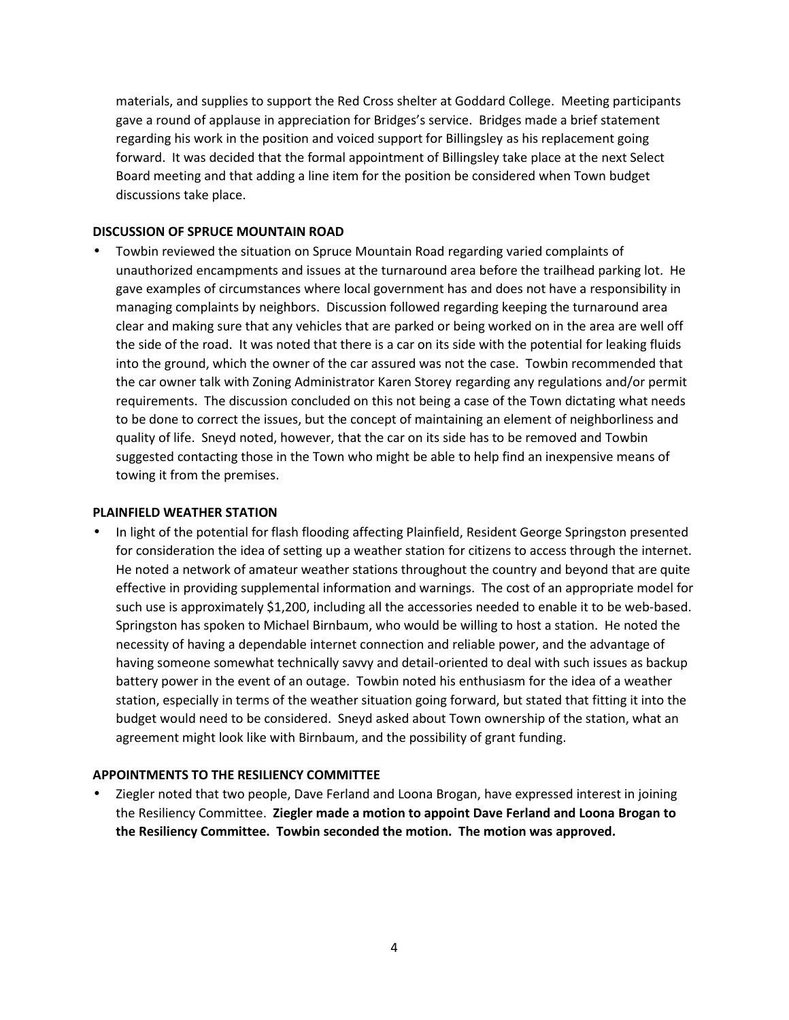materials, and supplies to support the Red Cross shelter at Goddard College. Meeting participants gave a round of applause in appreciation for Bridges's service. Bridges made a brief statement regarding his work in the position and voiced support for Billingsley as his replacement going forward. It was decided that the formal appointment of Billingsley take place at the next Select Board meeting and that adding a line item for the position be considered when Town budget discussions take place.

#### **DISCUSSION OF SPRUCE MOUNTAIN ROAD**

 Towbin reviewed the situation on Spruce Mountain Road regarding varied complaints of unauthorized encampments and issues at the turnaround area before the trailhead parking lot. He gave examples of circumstances where local government has and does not have a responsibility in managing complaints by neighbors. Discussion followed regarding keeping the turnaround area clear and making sure that any vehicles that are parked or being worked on in the area are well off the side of the road. It was noted that there is a car on its side with the potential for leaking fluids into the ground, which the owner of the car assured was not the case. Towbin recommended that the car owner talk with Zoning Administrator Karen Storey regarding any regulations and/or permit requirements. The discussion concluded on this not being a case of the Town dictating what needs to be done to correct the issues, but the concept of maintaining an element of neighborliness and quality of life. Sneyd noted, however, that the car on its side has to be removed and Towbin suggested contacting those in the Town who might be able to help find an inexpensive means of towing it from the premises.

#### **PLAINFIELD WEATHER STATION**

 In light of the potential for flash flooding affecting Plainfield, Resident George Springston presented for consideration the idea of setting up a weather station for citizens to access through the internet. He noted a network of amateur weather stations throughout the country and beyond that are quite effective in providing supplemental information and warnings. The cost of an appropriate model for such use is approximately \$1,200, including all the accessories needed to enable it to be web-based. Springston has spoken to Michael Birnbaum, who would be willing to host a station. He noted the necessity of having a dependable internet connection and reliable power, and the advantage of having someone somewhat technically savvy and detail-oriented to deal with such issues as backup battery power in the event of an outage. Towbin noted his enthusiasm for the idea of a weather station, especially in terms of the weather situation going forward, but stated that fitting it into the budget would need to be considered. Sneyd asked about Town ownership of the station, what an agreement might look like with Birnbaum, and the possibility of grant funding.

### **APPOINTMENTS TO THE RESILIENCY COMMITTEE**

• Ziegler noted that two people, Dave Ferland and Loona Brogan, have expressed interest in joining the Resiliency Committee. **Ziegler made a motion to appoint Dave Ferland and Loona Brogan to the Resiliency Committee. Towbin seconded the motion. The motion was approved.**